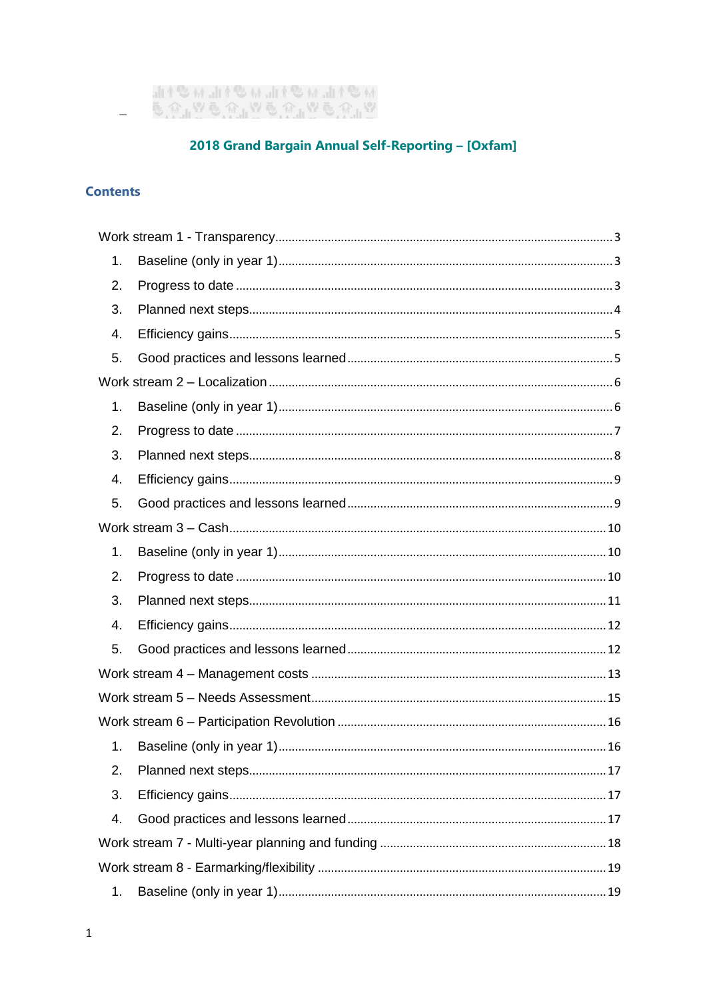

# 2018 Grand Bargain Annual Self-Reporting - [Oxfam]

# **Contents**

| 1. |  |
|----|--|
| 2. |  |
| 3. |  |
| 4. |  |
| 5. |  |
|    |  |
| 1. |  |
| 2. |  |
| 3. |  |
| 4. |  |
| 5. |  |
|    |  |
| 1. |  |
| 2. |  |
| 3. |  |
| 4. |  |
| 5. |  |
|    |  |
|    |  |
|    |  |
| 1. |  |
| 2. |  |
| 3. |  |
| 4. |  |
|    |  |
|    |  |
| 1. |  |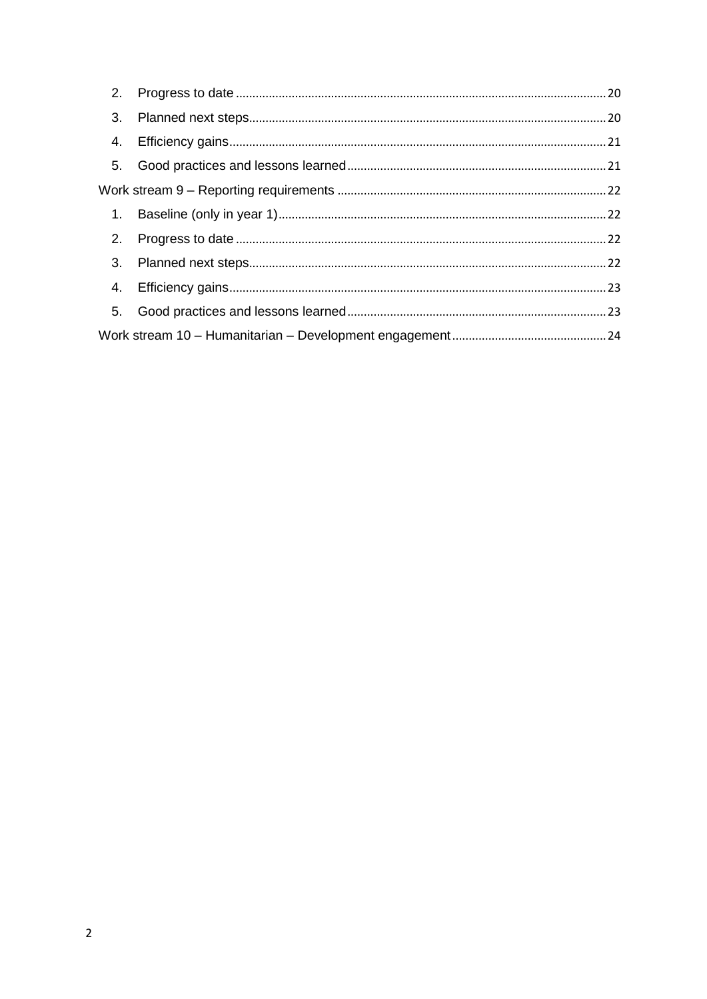| 3. |  |
|----|--|
|    |  |
|    |  |
|    |  |
|    |  |
| 2. |  |
|    |  |
|    |  |
| 5. |  |
|    |  |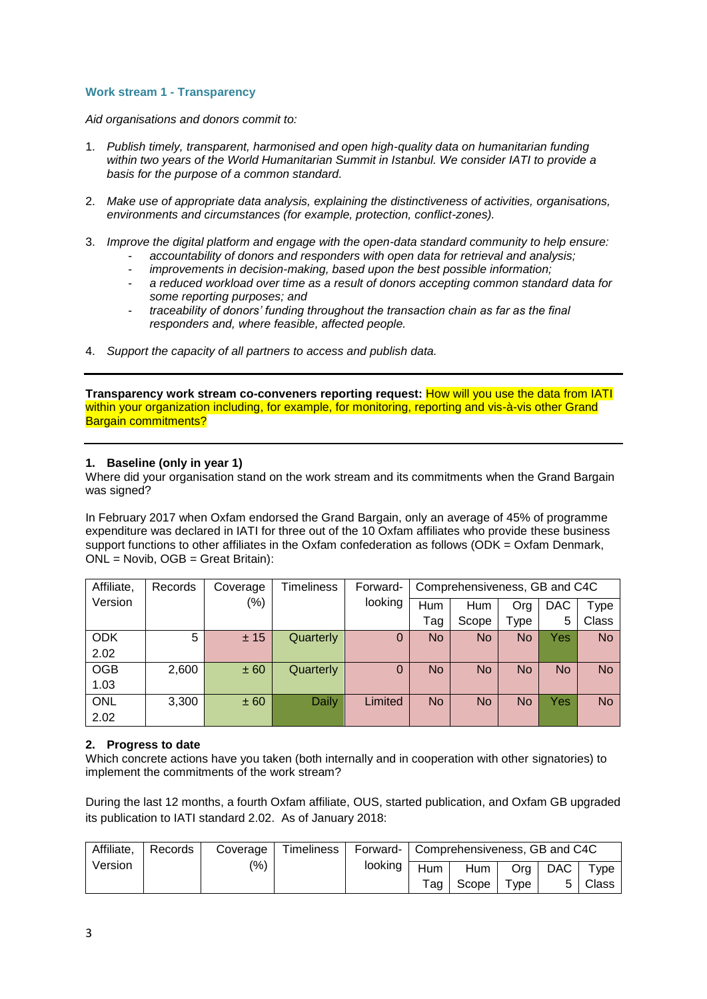### <span id="page-2-0"></span>**Work stream 1 - Transparency**

*Aid organisations and donors commit to:*

- 1. *Publish timely, transparent, harmonised and open high-quality data on humanitarian funding within two years of the World Humanitarian Summit in Istanbul. We consider IATI to provide a basis for the purpose of a common standard.*
- 2. *Make use of appropriate data analysis, explaining the distinctiveness of activities, organisations, environments and circumstances (for example, protection, conflict-zones).*
- 3. *Improve the digital platform and engage with the open-data standard community to help ensure:* - *accountability of donors and responders with open data for retrieval and analysis;*
	- *improvements in decision-making, based upon the best possible information;*
	- *a reduced workload over time as a result of donors accepting common standard data for some reporting purposes; and*
	- *traceability of donors' funding throughout the transaction chain as far as the final responders and, where feasible, affected people.*
- 4. *Support the capacity of all partners to access and publish data.*

**Transparency work stream co-conveners reporting request:** How will you use the data from IATI within your organization including, for example, for monitoring, reporting and vis-à-vis other Grand Bargain commitments?

### <span id="page-2-1"></span>**1. Baseline (only in year 1)**

Where did your organisation stand on the work stream and its commitments when the Grand Bargain was signed?

In February 2017 when Oxfam endorsed the Grand Bargain, only an average of 45% of programme expenditure was declared in IATI for three out of the 10 Oxfam affiliates who provide these business support functions to other affiliates in the Oxfam confederation as follows (ODK = Oxfam Denmark, ONL = Novib, OGB = Great Britain):

| Affiliate, | Records | Coverage | <b>Timeliness</b> | Forward-    | Comprehensiveness, GB and C4C |           |           |           |           |
|------------|---------|----------|-------------------|-------------|-------------------------------|-----------|-----------|-----------|-----------|
| Version    |         | $(\%)$   |                   | looking     | Hum                           | Hum       | Org       | DAC       | Type      |
|            |         |          |                   |             | Tag                           | Scope     | Type      | 5         | Class     |
| <b>ODK</b> | 5       | ± 15     | Quarterly         | $\mathbf 0$ | <b>No</b>                     | <b>No</b> | No        | Yes       | <b>No</b> |
| 2.02       |         |          |                   |             |                               |           |           |           |           |
| <b>OGB</b> | 2,600   | ± 60     | Quarterly         | $\Omega$    | <b>No</b>                     | <b>No</b> | <b>No</b> | <b>No</b> | <b>No</b> |
| 1.03       |         |          |                   |             |                               |           |           |           |           |
| <b>ONL</b> | 3,300   | ± 60     | Daily             | Limited     | <b>No</b>                     | <b>No</b> | No        | Yes       | <b>No</b> |
| 2.02       |         |          |                   |             |                               |           |           |           |           |

# <span id="page-2-2"></span>**2. Progress to date**

Which concrete actions have you taken (both internally and in cooperation with other signatories) to implement the commitments of the work stream?

During the last 12 months, a fourth Oxfam affiliate, OUS, started publication, and Oxfam GB upgraded its publication to IATI standard 2.02. As of January 2018:

| Affiliate, | Records | Coverage      | Timeliness | Forward-   Comprehensiveness, GB and C4C |            |       |                 |         |                  |
|------------|---------|---------------|------------|------------------------------------------|------------|-------|-----------------|---------|------------------|
| Version    |         | $\frac{1}{2}$ |            | looking                                  | <b>Hum</b> | Hum   | O <sub>rq</sub> | DAC DAC | $\mathsf{v}$ vpe |
|            |         |               |            |                                          | Tao        | Scope | $\tau$ vpe      |         | Class            |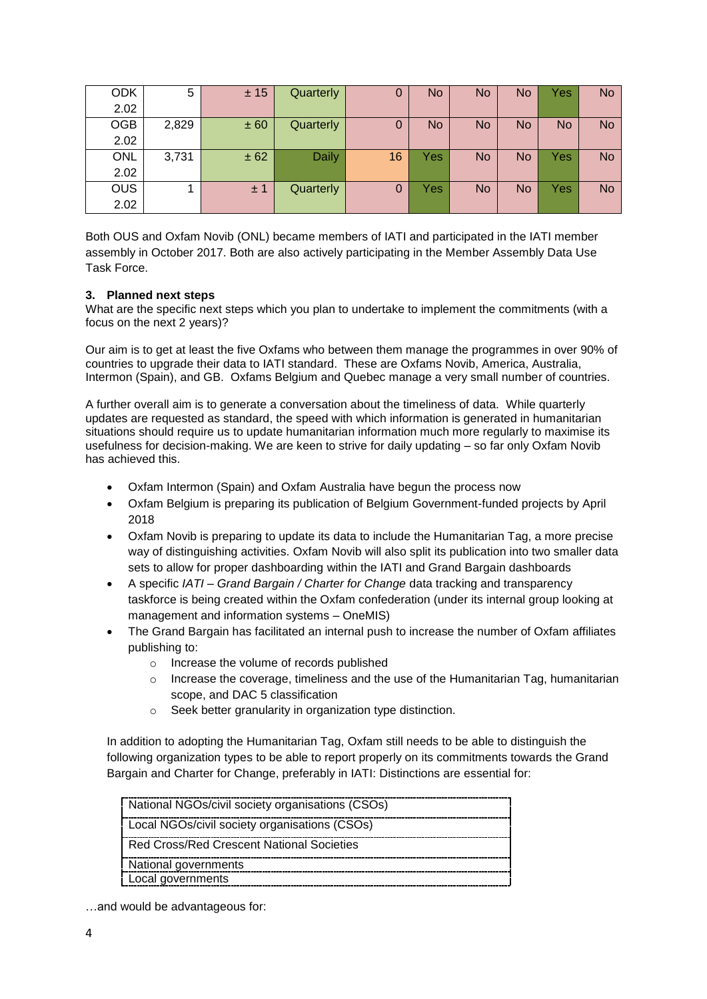| <b>ODK</b> | 5     | ± 15 | Quarterly    | 0  | No  | <b>No</b> | No | Yes       | <b>No</b> |
|------------|-------|------|--------------|----|-----|-----------|----|-----------|-----------|
| 2.02       |       |      |              |    |     |           |    |           |           |
| <b>OGB</b> | 2,829 | ± 60 | Quarterly    | 0  | No  | <b>No</b> | No | <b>No</b> | <b>No</b> |
| 2.02       |       |      |              |    |     |           |    |           |           |
| <b>ONL</b> | 3,731 | ± 62 | <b>Daily</b> | 16 | Yes | <b>No</b> | No | Yes       | <b>No</b> |
| 2.02       |       |      |              |    |     |           |    |           |           |
| <b>OUS</b> |       | ±1   | Quarterly    | 0  | Yes | <b>No</b> | No | Yes       | <b>No</b> |
| 2.02       |       |      |              |    |     |           |    |           |           |

Both OUS and Oxfam Novib (ONL) became members of IATI and participated in the IATI member assembly in October 2017. Both are also actively participating in the Member Assembly Data Use Task Force.

# <span id="page-3-0"></span>**3. Planned next steps**

What are the specific next steps which you plan to undertake to implement the commitments (with a focus on the next 2 years)?

Our aim is to get at least the five Oxfams who between them manage the programmes in over 90% of countries to upgrade their data to IATI standard. These are Oxfams Novib, America, Australia, Intermon (Spain), and GB. Oxfams Belgium and Quebec manage a very small number of countries.

A further overall aim is to generate a conversation about the timeliness of data. While quarterly updates are requested as standard, the speed with which information is generated in humanitarian situations should require us to update humanitarian information much more regularly to maximise its usefulness for decision-making. We are keen to strive for daily updating – so far only Oxfam Novib has achieved this.

- Oxfam Intermon (Spain) and Oxfam Australia have begun the process now
- Oxfam Belgium is preparing its publication of Belgium Government-funded projects by April 2018
- Oxfam Novib is preparing to update its data to include the Humanitarian Tag, a more precise way of distinguishing activities. Oxfam Novib will also split its publication into two smaller data sets to allow for proper dashboarding within the IATI and Grand Bargain dashboards
- A specific *IATI – Grand Bargain / Charter for Change* data tracking and transparency taskforce is being created within the Oxfam confederation (under its internal group looking at management and information systems – OneMIS)
- The Grand Bargain has facilitated an internal push to increase the number of Oxfam affiliates publishing to:
	- o Increase the volume of records published
	- $\circ$  Increase the coverage, timeliness and the use of the Humanitarian Tag, humanitarian scope, and DAC 5 classification
	- o Seek better granularity in organization type distinction.

In addition to adopting the Humanitarian Tag, Oxfam still needs to be able to distinguish the following organization types to be able to report properly on its commitments towards the Grand Bargain and Charter for Change, preferably in IATI: Distinctions are essential for:

| National NGOs/civil society organisations (CSOs) |
|--------------------------------------------------|
| Local NGOs/civil society organisations (CSOs)    |
| Red Cross/Red Crescent National Societies        |
| National governments                             |
| Local governments                                |

…and would be advantageous for: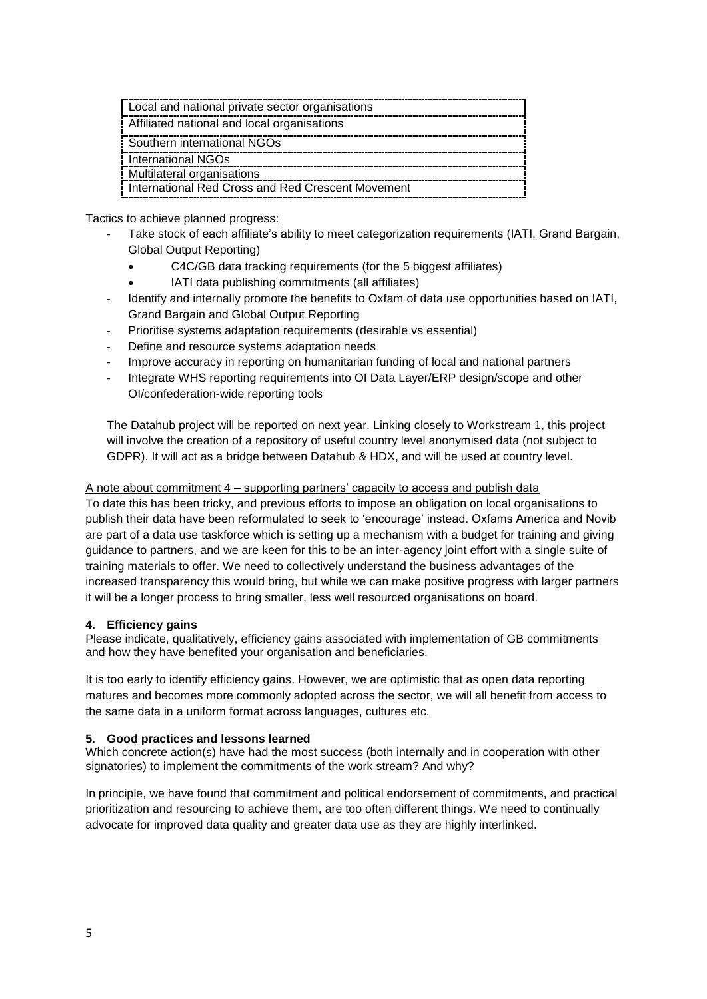| Local and national private sector organisations   |
|---------------------------------------------------|
| Affiliated national and local organisations       |
| Southern international NGOs                       |
| : International NGOs                              |
| Multilateral organisations                        |
| International Red Cross and Red Crescent Movement |

# Tactics to achieve planned progress:

- Take stock of each affiliate's ability to meet categorization requirements (IATI, Grand Bargain, Global Output Reporting)
	- C4C/GB data tracking requirements (for the 5 biggest affiliates)
	- IATI data publishing commitments (all affiliates)
- Identify and internally promote the benefits to Oxfam of data use opportunities based on IATI, Grand Bargain and Global Output Reporting
- Prioritise systems adaptation requirements (desirable vs essential)
- Define and resource systems adaptation needs
- Improve accuracy in reporting on humanitarian funding of local and national partners
- Integrate WHS reporting requirements into OI Data Layer/ERP design/scope and other OI/confederation-wide reporting tools

The Datahub project will be reported on next year. Linking closely to Workstream 1, this project will involve the creation of a repository of useful country level anonymised data (not subject to GDPR). It will act as a bridge between Datahub & HDX, and will be used at country level.

### A note about commitment 4 – supporting partners' capacity to access and publish data

To date this has been tricky, and previous efforts to impose an obligation on local organisations to publish their data have been reformulated to seek to 'encourage' instead. Oxfams America and Novib are part of a data use taskforce which is setting up a mechanism with a budget for training and giving guidance to partners, and we are keen for this to be an inter-agency joint effort with a single suite of training materials to offer. We need to collectively understand the business advantages of the increased transparency this would bring, but while we can make positive progress with larger partners it will be a longer process to bring smaller, less well resourced organisations on board.

# <span id="page-4-0"></span>**4. Efficiency gains**

Please indicate, qualitatively, efficiency gains associated with implementation of GB commitments and how they have benefited your organisation and beneficiaries.

It is too early to identify efficiency gains. However, we are optimistic that as open data reporting matures and becomes more commonly adopted across the sector, we will all benefit from access to the same data in a uniform format across languages, cultures etc.

# <span id="page-4-1"></span>**5. Good practices and lessons learned**

Which concrete action(s) have had the most success (both internally and in cooperation with other signatories) to implement the commitments of the work stream? And why?

In principle, we have found that commitment and political endorsement of commitments, and practical prioritization and resourcing to achieve them, are too often different things. We need to continually advocate for improved data quality and greater data use as they are highly interlinked.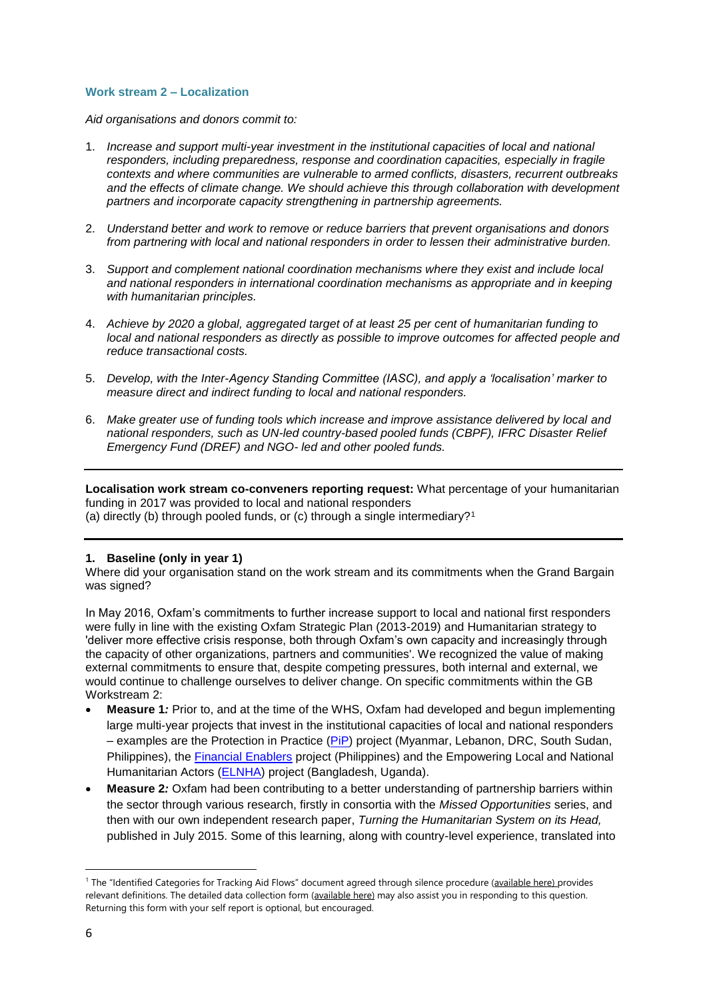### <span id="page-5-0"></span>**Work stream 2 – Localization**

*Aid organisations and donors commit to:*

- 1. *Increase and support multi-year investment in the institutional capacities of local and national responders, including preparedness, response and coordination capacities, especially in fragile contexts and where communities are vulnerable to armed conflicts, disasters, recurrent outbreaks and the effects of climate change. We should achieve this through collaboration with development partners and incorporate capacity strengthening in partnership agreements.*
- 2. *Understand better and work to remove or reduce barriers that prevent organisations and donors from partnering with local and national responders in order to lessen their administrative burden.*
- 3. *Support and complement national coordination mechanisms where they exist and include local and national responders in international coordination mechanisms as appropriate and in keeping with humanitarian principles.*
- 4. *Achieve by 2020 a global, aggregated target of at least 25 per cent of humanitarian funding to local and national responders as directly as possible to improve outcomes for affected people and reduce transactional costs.*
- 5. *Develop, with the Inter-Agency Standing Committee (IASC), and apply a 'localisation' marker to measure direct and indirect funding to local and national responders.*
- 6. *Make greater use of funding tools which increase and improve assistance delivered by local and national responders, such as UN-led country-based pooled funds (CBPF), IFRC Disaster Relief Emergency Fund (DREF) and NGO- led and other pooled funds.*

**Localisation work stream co-conveners reporting request:** What percentage of your humanitarian funding in 2017 was provided to local and national responders (a) directly (b) through pooled funds, or (c) through a single intermediary?<sup>1</sup>

#### <span id="page-5-1"></span>**1. Baseline (only in year 1)**

Where did your organisation stand on the work stream and its commitments when the Grand Bargain was signed?

In May 2016, Oxfam's commitments to further increase support to local and national first responders were fully in line with the existing Oxfam Strategic Plan (2013-2019) and Humanitarian strategy to 'deliver more effective crisis response, both through Oxfam's own capacity and increasingly through the capacity of other organizations, partners and communities'. We recognized the value of making external commitments to ensure that, despite competing pressures, both internal and external, we would continue to challenge ourselves to deliver change. On specific commitments within the GB Workstream 2:

- **Measure 1***:* Prior to, and at the time of the WHS, Oxfam had developed and begun implementing large multi-year projects that invest in the institutional capacities of local and national responders – examples are the Protection in Practice [\(PiP\)](https://reliefweb.int/sites/reliefweb.int/files/resources/DEPP%20Protection%20in%20Practice%20Learning%20Snapshot.pdf) project (Myanmar, Lebanon, DRC, South Sudan, Philippines), the [Financial Enablers](https://startnetwork.org/start-engage/financial-enablers) project (Philippines) and the Empowering Local and National Humanitarian Actors [\(ELNHA\)](https://www.oxfamnovib.nl/donors-partners/about-oxfam/projects-and-programs/elnha.html) project (Bangladesh, Uganda).
- **Measure 2***:* Oxfam had been contributing to a better understanding of partnership barriers within the sector through various research, firstly in consortia with the *Missed Opportunities* series, and then with our own independent research paper, *Turning the Humanitarian System on its Head,* published in July 2015. Some of this learning, along with country-level experience, translated into

1

<sup>&</sup>lt;sup>1</sup> The "Identified Categories for Tracking Aid Flows" document agreed through silence procedure ([available here\)](https://interagencystandingcommittee.org/grand-bargain-hosted-iasc/documents/categories-tracking-funding-flows) provides relevant definitions. The detailed data collection form [\(available here\)](https://interagencystandingcommittee.org/grand-bargain-hosted-iasc/documents/localization-data-collection-form) may also assist you in responding to this question. Returning this form with your self report is optional, but encouraged.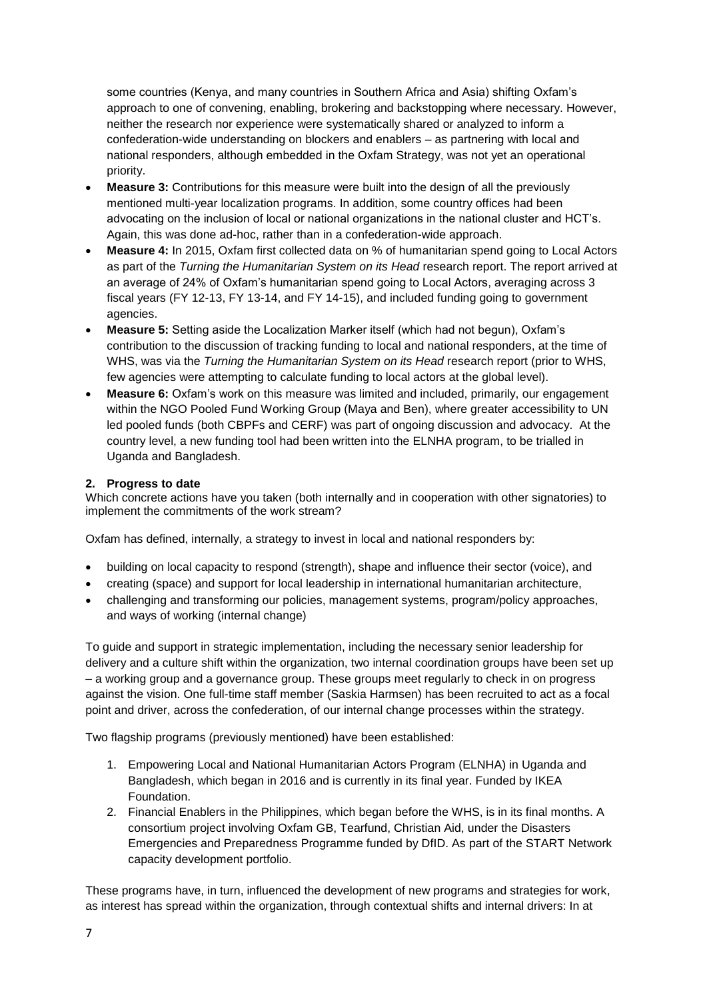some countries (Kenya, and many countries in Southern Africa and Asia) shifting Oxfam's approach to one of convening, enabling, brokering and backstopping where necessary. However, neither the research nor experience were systematically shared or analyzed to inform a confederation-wide understanding on blockers and enablers – as partnering with local and national responders, although embedded in the Oxfam Strategy, was not yet an operational priority.

- **Measure 3:** Contributions for this measure were built into the design of all the previously mentioned multi-year localization programs. In addition, some country offices had been advocating on the inclusion of local or national organizations in the national cluster and HCT's. Again, this was done ad-hoc, rather than in a confederation-wide approach.
- **Measure 4:** In 2015, Oxfam first collected data on % of humanitarian spend going to Local Actors as part of the *Turning the Humanitarian System on its Head* research report. The report arrived at an average of 24% of Oxfam's humanitarian spend going to Local Actors, averaging across 3 fiscal years (FY 12-13, FY 13-14, and FY 14-15), and included funding going to government agencies.
- **Measure 5:** Setting aside the Localization Marker itself (which had not begun), Oxfam's contribution to the discussion of tracking funding to local and national responders, at the time of WHS, was via the *Turning the Humanitarian System on its Head* research report (prior to WHS, few agencies were attempting to calculate funding to local actors at the global level).
- **Measure 6:** Oxfam's work on this measure was limited and included, primarily, our engagement within the NGO Pooled Fund Working Group (Maya and Ben), where greater accessibility to UN led pooled funds (both CBPFs and CERF) was part of ongoing discussion and advocacy. At the country level, a new funding tool had been written into the ELNHA program, to be trialled in Uganda and Bangladesh.

# <span id="page-6-0"></span>**2. Progress to date**

Which concrete actions have you taken (both internally and in cooperation with other signatories) to implement the commitments of the work stream?

Oxfam has defined, internally, a strategy to invest in local and national responders by:

- building on local capacity to respond (strength), shape and influence their sector (voice), and
- creating (space) and support for local leadership in international humanitarian architecture,
- challenging and transforming our policies, management systems, program/policy approaches, and ways of working (internal change)

To guide and support in strategic implementation, including the necessary senior leadership for delivery and a culture shift within the organization, two internal coordination groups have been set up – a working group and a governance group. These groups meet regularly to check in on progress against the vision. One full-time staff member (Saskia Harmsen) has been recruited to act as a focal point and driver, across the confederation, of our internal change processes within the strategy.

Two flagship programs (previously mentioned) have been established:

- 1. Empowering Local and National Humanitarian Actors Program (ELNHA) in Uganda and Bangladesh, which began in 2016 and is currently in its final year. Funded by IKEA Foundation.
- 2. Financial Enablers in the Philippines, which began before the WHS, is in its final months. A consortium project involving Oxfam GB, Tearfund, Christian Aid, under the Disasters Emergencies and Preparedness Programme funded by DfID. As part of the START Network capacity development portfolio.

These programs have, in turn, influenced the development of new programs and strategies for work, as interest has spread within the organization, through contextual shifts and internal drivers: In at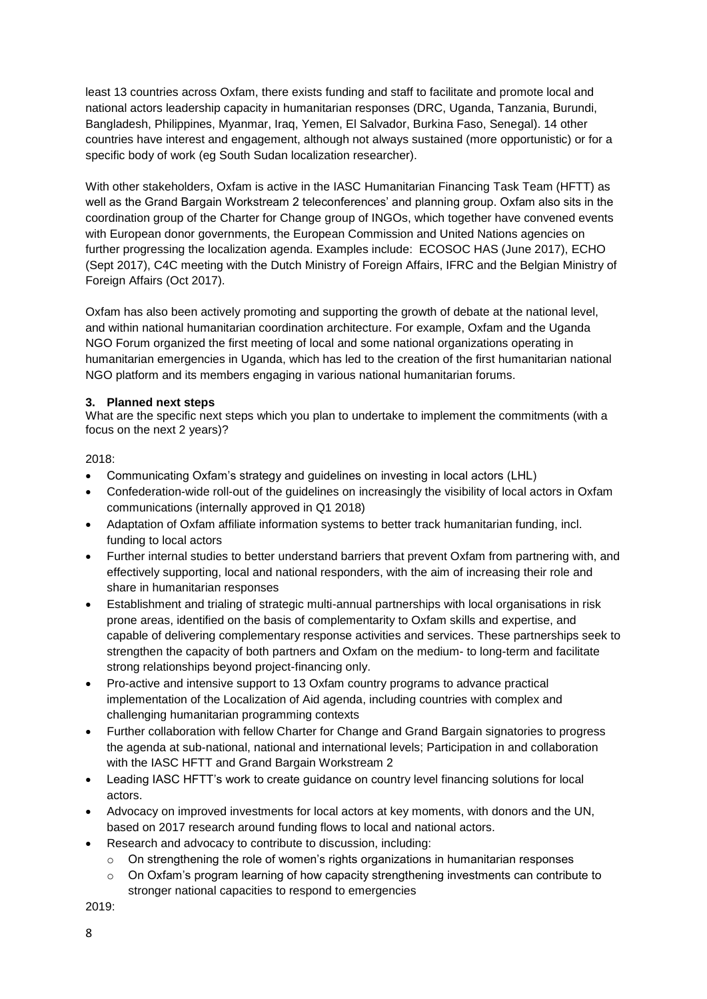least 13 countries across Oxfam, there exists funding and staff to facilitate and promote local and national actors leadership capacity in humanitarian responses (DRC, Uganda, Tanzania, Burundi, Bangladesh, Philippines, Myanmar, Iraq, Yemen, El Salvador, Burkina Faso, Senegal). 14 other countries have interest and engagement, although not always sustained (more opportunistic) or for a specific body of work (eg South Sudan localization researcher).

With other stakeholders, Oxfam is active in the IASC Humanitarian Financing Task Team (HFTT) as well as the Grand Bargain Workstream 2 teleconferences' and planning group. Oxfam also sits in the coordination group of the Charter for Change group of INGOs, which together have convened events with European donor governments, the European Commission and United Nations agencies on further progressing the localization agenda. Examples include: ECOSOC HAS (June 2017), ECHO (Sept 2017), C4C meeting with the Dutch Ministry of Foreign Affairs, IFRC and the Belgian Ministry of Foreign Affairs (Oct 2017).

Oxfam has also been actively promoting and supporting the growth of debate at the national level, and within national humanitarian coordination architecture. For example, Oxfam and the Uganda NGO Forum organized the first meeting of local and some national organizations operating in humanitarian emergencies in Uganda, which has led to the creation of the first humanitarian national NGO platform and its members engaging in various national humanitarian forums.

# <span id="page-7-0"></span>**3. Planned next steps**

What are the specific next steps which you plan to undertake to implement the commitments (with a focus on the next 2 years)?

2018:

- Communicating Oxfam's strategy and guidelines on investing in local actors (LHL)
- Confederation-wide roll-out of the guidelines on increasingly the visibility of local actors in Oxfam communications (internally approved in Q1 2018)
- Adaptation of Oxfam affiliate information systems to better track humanitarian funding, incl. funding to local actors
- Further internal studies to better understand barriers that prevent Oxfam from partnering with, and effectively supporting, local and national responders, with the aim of increasing their role and share in humanitarian responses
- Establishment and trialing of strategic multi-annual partnerships with local organisations in risk prone areas, identified on the basis of complementarity to Oxfam skills and expertise, and capable of delivering complementary response activities and services. These partnerships seek to strengthen the capacity of both partners and Oxfam on the medium- to long-term and facilitate strong relationships beyond project-financing only.
- Pro-active and intensive support to 13 Oxfam country programs to advance practical implementation of the Localization of Aid agenda, including countries with complex and challenging humanitarian programming contexts
- Further collaboration with fellow Charter for Change and Grand Bargain signatories to progress the agenda at sub-national, national and international levels; Participation in and collaboration with the IASC HFTT and Grand Bargain Workstream 2
- Leading IASC HFTT's work to create guidance on country level financing solutions for local actors.
- Advocacy on improved investments for local actors at key moments, with donors and the UN, based on 2017 research around funding flows to local and national actors.
- Research and advocacy to contribute to discussion, including:
	- $\circ$  On strengthening the role of women's rights organizations in humanitarian responses
	- $\circ$  On Oxfam's program learning of how capacity strengthening investments can contribute to stronger national capacities to respond to emergencies

2019: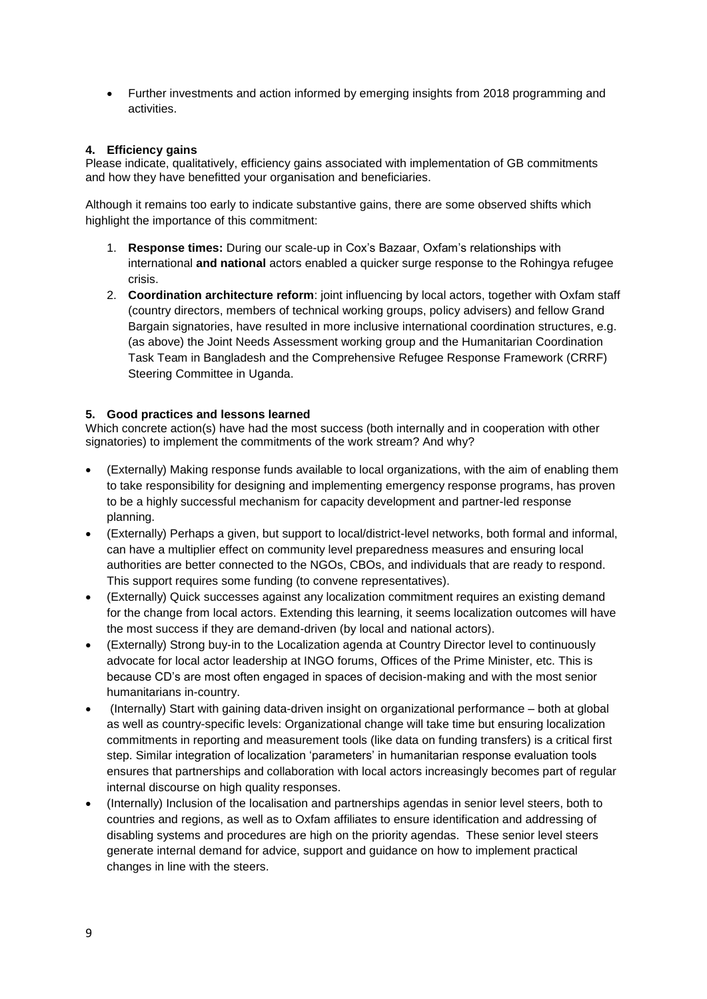Further investments and action informed by emerging insights from 2018 programming and activities.

# <span id="page-8-0"></span>**4. Efficiency gains**

Please indicate, qualitatively, efficiency gains associated with implementation of GB commitments and how they have benefitted your organisation and beneficiaries.

Although it remains too early to indicate substantive gains, there are some observed shifts which highlight the importance of this commitment:

- 1. **Response times:** During our scale-up in Cox's Bazaar, Oxfam's relationships with international **and national** actors enabled a quicker surge response to the Rohingya refugee crisis.
- 2. **Coordination architecture reform**: joint influencing by local actors, together with Oxfam staff (country directors, members of technical working groups, policy advisers) and fellow Grand Bargain signatories, have resulted in more inclusive international coordination structures, e.g. (as above) the Joint Needs Assessment working group and the Humanitarian Coordination Task Team in Bangladesh and the Comprehensive Refugee Response Framework (CRRF) Steering Committee in Uganda.

# <span id="page-8-1"></span>**5. Good practices and lessons learned**

Which concrete action(s) have had the most success (both internally and in cooperation with other signatories) to implement the commitments of the work stream? And why?

- (Externally) Making response funds available to local organizations, with the aim of enabling them to take responsibility for designing and implementing emergency response programs, has proven to be a highly successful mechanism for capacity development and partner-led response planning.
- (Externally) Perhaps a given, but support to local/district-level networks, both formal and informal, can have a multiplier effect on community level preparedness measures and ensuring local authorities are better connected to the NGOs, CBOs, and individuals that are ready to respond. This support requires some funding (to convene representatives).
- (Externally) Quick successes against any localization commitment requires an existing demand for the change from local actors. Extending this learning, it seems localization outcomes will have the most success if they are demand-driven (by local and national actors).
- (Externally) Strong buy-in to the Localization agenda at Country Director level to continuously advocate for local actor leadership at INGO forums, Offices of the Prime Minister, etc. This is because CD's are most often engaged in spaces of decision-making and with the most senior humanitarians in-country.
- (Internally) Start with gaining data-driven insight on organizational performance both at global as well as country-specific levels: Organizational change will take time but ensuring localization commitments in reporting and measurement tools (like data on funding transfers) is a critical first step. Similar integration of localization 'parameters' in humanitarian response evaluation tools ensures that partnerships and collaboration with local actors increasingly becomes part of regular internal discourse on high quality responses.
- (Internally) Inclusion of the localisation and partnerships agendas in senior level steers, both to countries and regions, as well as to Oxfam affiliates to ensure identification and addressing of disabling systems and procedures are high on the priority agendas. These senior level steers generate internal demand for advice, support and guidance on how to implement practical changes in line with the steers.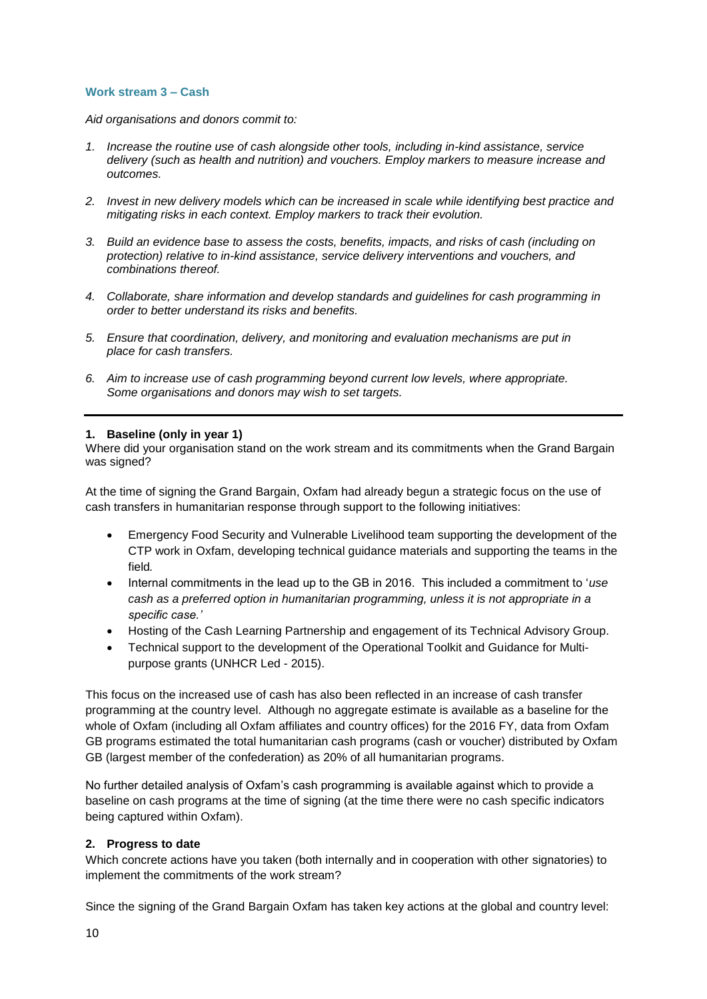# <span id="page-9-0"></span>**Work stream 3 – Cash**

*Aid organisations and donors commit to:*

- *1. Increase the routine use of cash alongside other tools, including in-kind assistance, service delivery (such as health and nutrition) and vouchers. Employ markers to measure increase and outcomes.*
- *2. Invest in new delivery models which can be increased in scale while identifying best practice and mitigating risks in each context. Employ markers to track their evolution.*
- *3. Build an evidence base to assess the costs, benefits, impacts, and risks of cash (including on protection) relative to in-kind assistance, service delivery interventions and vouchers, and combinations thereof.*
- *4. Collaborate, share information and develop standards and guidelines for cash programming in order to better understand its risks and benefits.*
- *5. Ensure that coordination, delivery, and monitoring and evaluation mechanisms are put in place for cash transfers.*
- *6. Aim to increase use of cash programming beyond current low levels, where appropriate. Some organisations and donors may wish to set targets.*

#### <span id="page-9-1"></span>**1. Baseline (only in year 1)**

Where did your organisation stand on the work stream and its commitments when the Grand Bargain was signed?

At the time of signing the Grand Bargain, Oxfam had already begun a strategic focus on the use of cash transfers in humanitarian response through support to the following initiatives:

- Emergency Food Security and Vulnerable Livelihood team supporting the development of the CTP work in Oxfam, developing technical guidance materials and supporting the teams in the field*.*
- Internal commitments in the lead up to the GB in 2016. This included a commitment to '*use cash as a preferred option in humanitarian programming, unless it is not appropriate in a specific case.'*
- Hosting of the Cash Learning Partnership and engagement of its Technical Advisory Group.
- Technical support to the development of the Operational Toolkit and Guidance for Multipurpose grants (UNHCR Led - 2015).

This focus on the increased use of cash has also been reflected in an increase of cash transfer programming at the country level. Although no aggregate estimate is available as a baseline for the whole of Oxfam (including all Oxfam affiliates and country offices) for the 2016 FY, data from Oxfam GB programs estimated the total humanitarian cash programs (cash or voucher) distributed by Oxfam GB (largest member of the confederation) as 20% of all humanitarian programs.

No further detailed analysis of Oxfam's cash programming is available against which to provide a baseline on cash programs at the time of signing (at the time there were no cash specific indicators being captured within Oxfam).

#### <span id="page-9-2"></span>**2. Progress to date**

Which concrete actions have you taken (both internally and in cooperation with other signatories) to implement the commitments of the work stream?

Since the signing of the Grand Bargain Oxfam has taken key actions at the global and country level: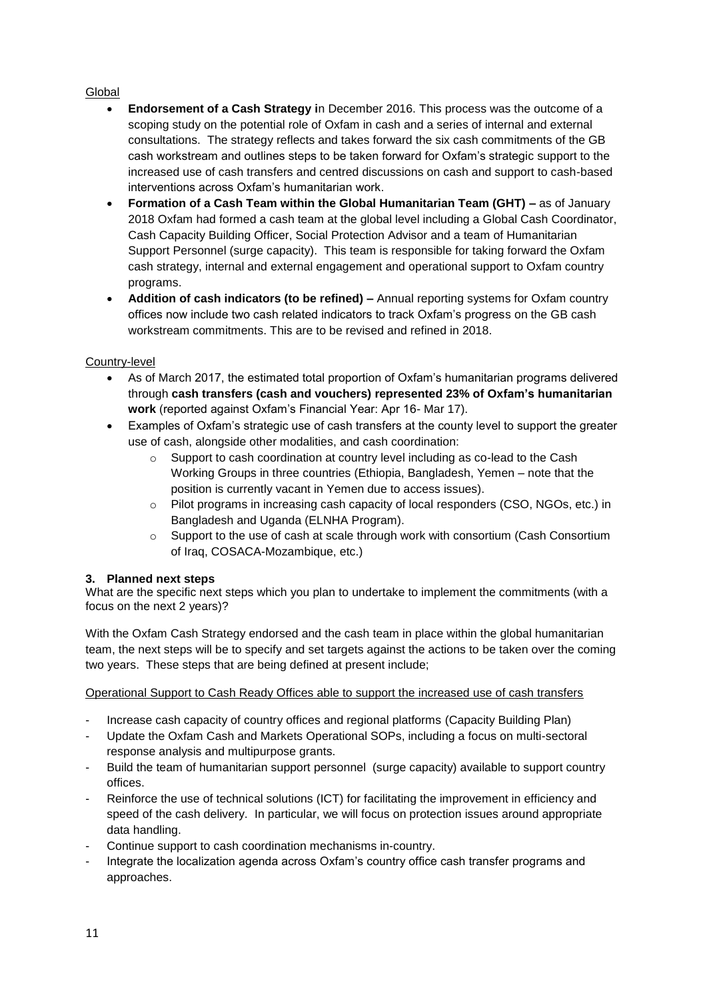# Global

- **Endorsement of a Cash Strategy i**n December 2016. This process was the outcome of a scoping study on the potential role of Oxfam in cash and a series of internal and external consultations. The strategy reflects and takes forward the six cash commitments of the GB cash workstream and outlines steps to be taken forward for Oxfam's strategic support to the increased use of cash transfers and centred discussions on cash and support to cash-based interventions across Oxfam's humanitarian work.
- **Formation of a Cash Team within the Global Humanitarian Team (GHT) –** as of January 2018 Oxfam had formed a cash team at the global level including a Global Cash Coordinator, Cash Capacity Building Officer, Social Protection Advisor and a team of Humanitarian Support Personnel (surge capacity). This team is responsible for taking forward the Oxfam cash strategy, internal and external engagement and operational support to Oxfam country programs.
- **Addition of cash indicators (to be refined) –** Annual reporting systems for Oxfam country offices now include two cash related indicators to track Oxfam's progress on the GB cash workstream commitments. This are to be revised and refined in 2018.

# Country-level

- As of March 2017, the estimated total proportion of Oxfam's humanitarian programs delivered through **cash transfers (cash and vouchers) represented 23% of Oxfam's humanitarian work** (reported against Oxfam's Financial Year: Apr 16- Mar 17).
- Examples of Oxfam's strategic use of cash transfers at the county level to support the greater use of cash, alongside other modalities, and cash coordination:
	- $\circ$  Support to cash coordination at country level including as co-lead to the Cash Working Groups in three countries (Ethiopia, Bangladesh, Yemen – note that the position is currently vacant in Yemen due to access issues).
	- $\circ$  Pilot programs in increasing cash capacity of local responders (CSO, NGOs, etc.) in Bangladesh and Uganda (ELNHA Program).
	- $\circ$  Support to the use of cash at scale through work with consortium (Cash Consortium of Iraq, COSACA-Mozambique, etc.)

# <span id="page-10-0"></span>**3. Planned next steps**

What are the specific next steps which you plan to undertake to implement the commitments (with a focus on the next 2 years)?

With the Oxfam Cash Strategy endorsed and the cash team in place within the global humanitarian team, the next steps will be to specify and set targets against the actions to be taken over the coming two years. These steps that are being defined at present include;

Operational Support to Cash Ready Offices able to support the increased use of cash transfers

- Increase cash capacity of country offices and regional platforms (Capacity Building Plan)
- Update the Oxfam Cash and Markets Operational SOPs, including a focus on multi-sectoral response analysis and multipurpose grants.
- Build the team of humanitarian support personnel (surge capacity) available to support country offices.
- Reinforce the use of technical solutions (ICT) for facilitating the improvement in efficiency and speed of the cash delivery. In particular, we will focus on protection issues around appropriate data handling.
- Continue support to cash coordination mechanisms in-country.
- Integrate the localization agenda across Oxfam's country office cash transfer programs and approaches.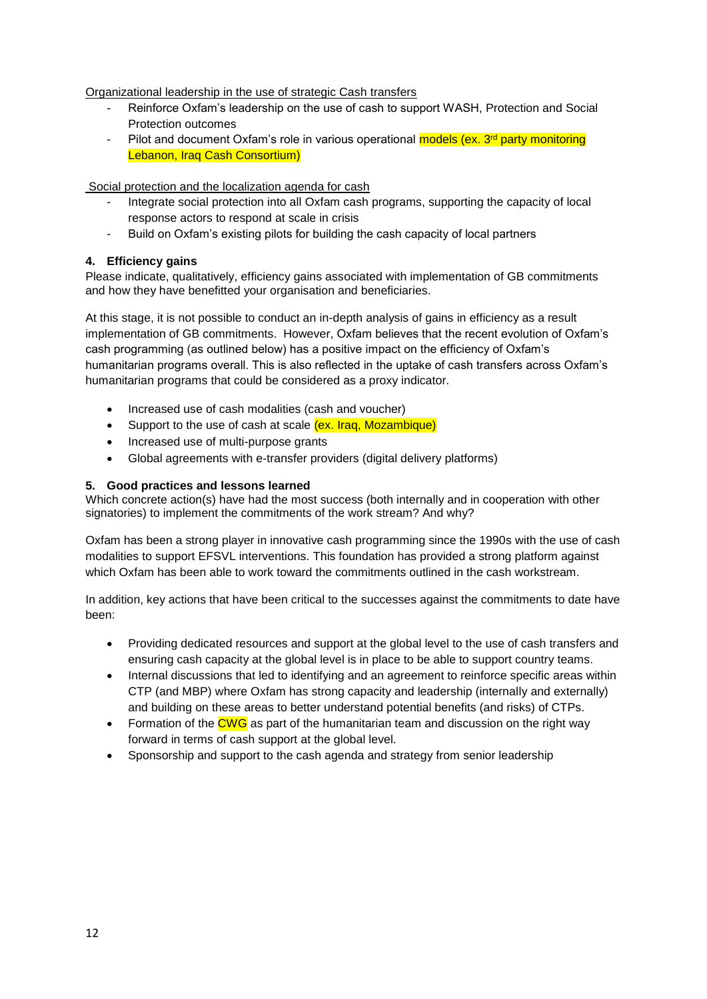Organizational leadership in the use of strategic Cash transfers

- Reinforce Oxfam's leadership on the use of cash to support WASH, Protection and Social Protection outcomes
- Pilot and document Oxfam's role in various operational models (ex. 3<sup>rd</sup> party monitoring Lebanon, Iraq Cash Consortium)

Social protection and the localization agenda for cash

- Integrate social protection into all Oxfam cash programs, supporting the capacity of local response actors to respond at scale in crisis
- Build on Oxfam's existing pilots for building the cash capacity of local partners

# <span id="page-11-0"></span>**4. Efficiency gains**

Please indicate, qualitatively, efficiency gains associated with implementation of GB commitments and how they have benefitted your organisation and beneficiaries.

At this stage, it is not possible to conduct an in-depth analysis of gains in efficiency as a result implementation of GB commitments. However, Oxfam believes that the recent evolution of Oxfam's cash programming (as outlined below) has a positive impact on the efficiency of Oxfam's humanitarian programs overall. This is also reflected in the uptake of cash transfers across Oxfam's humanitarian programs that could be considered as a proxy indicator.

- Increased use of cash modalities (cash and voucher)
- Support to the use of cash at scale (ex. Iraq, Mozambique)
- Increased use of multi-purpose grants
- Global agreements with e-transfer providers (digital delivery platforms)

# <span id="page-11-1"></span>**5. Good practices and lessons learned**

Which concrete action(s) have had the most success (both internally and in cooperation with other signatories) to implement the commitments of the work stream? And why?

Oxfam has been a strong player in innovative cash programming since the 1990s with the use of cash modalities to support EFSVL interventions. This foundation has provided a strong platform against which Oxfam has been able to work toward the commitments outlined in the cash workstream.

In addition, key actions that have been critical to the successes against the commitments to date have been:

- Providing dedicated resources and support at the global level to the use of cash transfers and ensuring cash capacity at the global level is in place to be able to support country teams.
- Internal discussions that led to identifying and an agreement to reinforce specific areas within CTP (and MBP) where Oxfam has strong capacity and leadership (internally and externally) and building on these areas to better understand potential benefits (and risks) of CTPs.
- Formation of the CWG as part of the humanitarian team and discussion on the right way forward in terms of cash support at the global level.
- Sponsorship and support to the cash agenda and strategy from senior leadership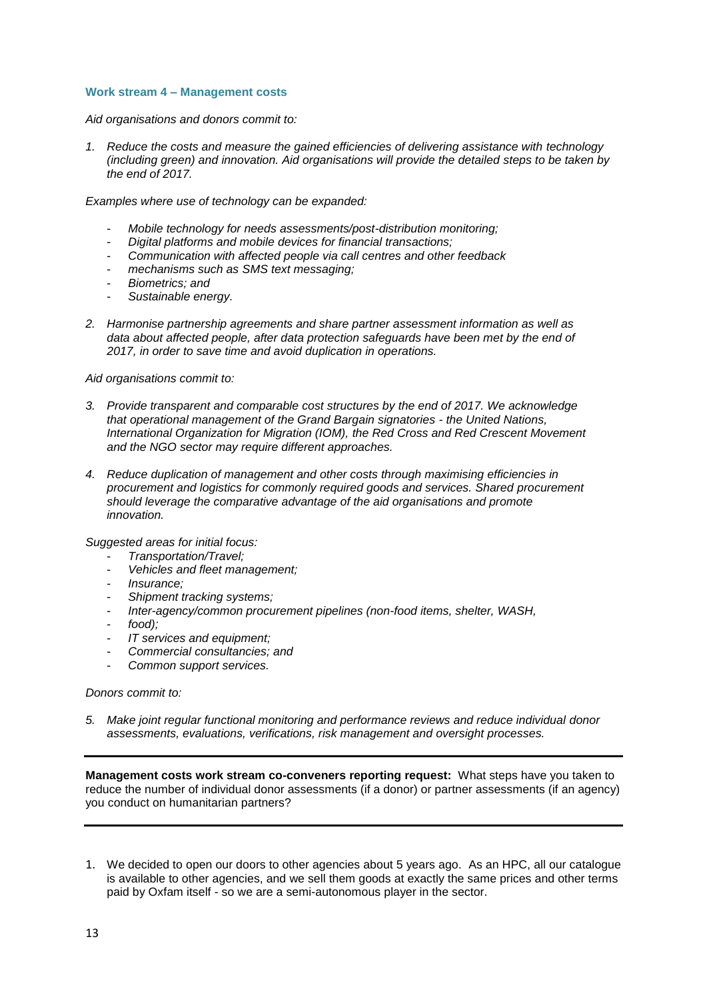### <span id="page-12-0"></span>**Work stream 4 – Management costs**

*Aid organisations and donors commit to:*

*1. Reduce the costs and measure the gained efficiencies of delivering assistance with technology (including green) and innovation. Aid organisations will provide the detailed steps to be taken by the end of 2017.*

*Examples where use of technology can be expanded:*

- *Mobile technology for needs assessments/post-distribution monitoring;*
- *Digital platforms and mobile devices for financial transactions;*
- *Communication with affected people via call centres and other feedback*
- *mechanisms such as SMS text messaging;*
- *Biometrics; and*
- *Sustainable energy.*
- *2. Harmonise partnership agreements and share partner assessment information as well as data about affected people, after data protection safeguards have been met by the end of 2017, in order to save time and avoid duplication in operations.*

*Aid organisations commit to:*

- *3. Provide transparent and comparable cost structures by the end of 2017. We acknowledge that operational management of the Grand Bargain signatories - the United Nations, International Organization for Migration (IOM), the Red Cross and Red Crescent Movement and the NGO sector may require different approaches.*
- *4. Reduce duplication of management and other costs through maximising efficiencies in procurement and logistics for commonly required goods and services. Shared procurement should leverage the comparative advantage of the aid organisations and promote innovation.*

*Suggested areas for initial focus:*

- *Transportation/Travel;*
- *Vehicles and fleet management;*
- *Insurance;*
- *Shipment tracking systems;*
- *Inter-agency/common procurement pipelines (non-food items, shelter, WASH,*
- *food);*
- *IT services and equipment;*
- *Commercial consultancies; and*
- *Common support services.*

#### *Donors commit to:*

*5. Make joint regular functional monitoring and performance reviews and reduce individual donor assessments, evaluations, verifications, risk management and oversight processes.*

**Management costs work stream co-conveners reporting request:** What steps have you taken to reduce the number of individual donor assessments (if a donor) or partner assessments (if an agency) you conduct on humanitarian partners?

1. We decided to open our doors to other agencies about 5 years ago. As an HPC, all our catalogue is available to other agencies, and we sell them goods at exactly the same prices and other terms paid by Oxfam itself - so we are a semi-autonomous player in the sector.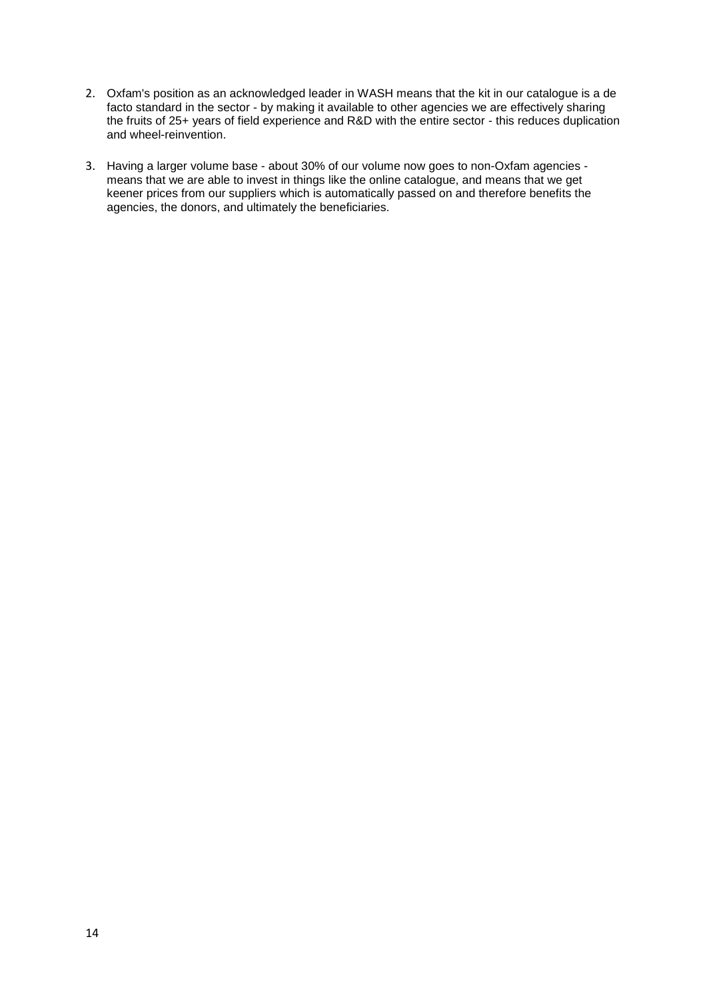- 2. Oxfam's position as an acknowledged leader in WASH means that the kit in our catalogue is a de facto standard in the sector - by making it available to other agencies we are effectively sharing the fruits of 25+ years of field experience and R&D with the entire sector - this reduces duplication and wheel-reinvention.
- 3. Having a larger volume base about 30% of our volume now goes to non-Oxfam agencies means that we are able to invest in things like the online catalogue, and means that we get keener prices from our suppliers which is automatically passed on and therefore benefits the agencies, the donors, and ultimately the beneficiaries.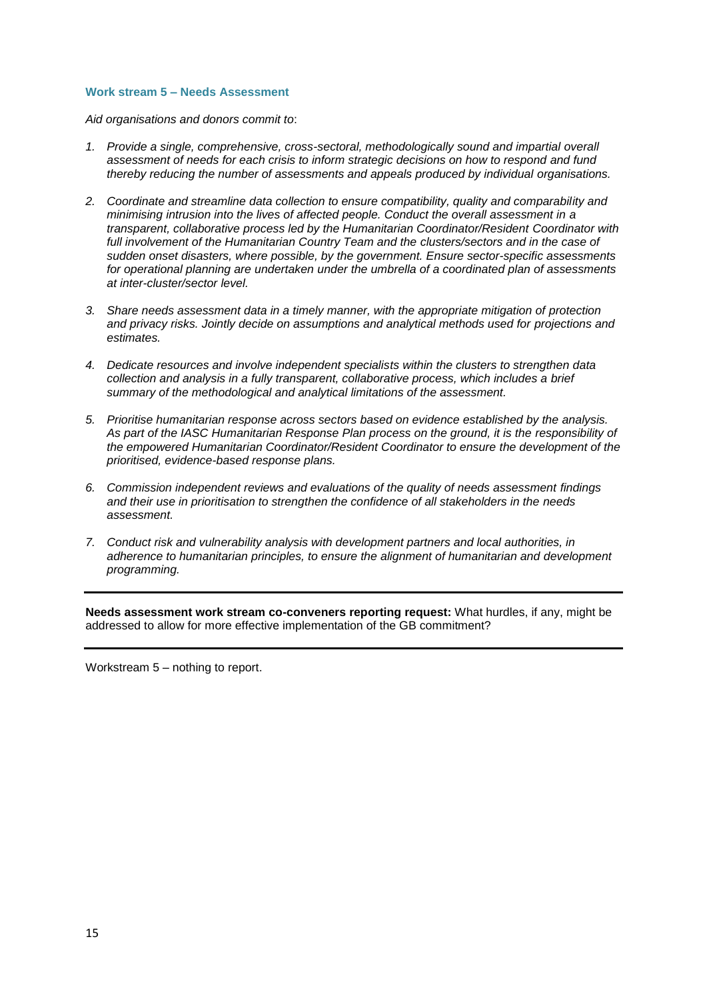#### <span id="page-14-0"></span>**Work stream 5 – Needs Assessment**

*Aid organisations and donors commit to*:

- *1. Provide a single, comprehensive, cross-sectoral, methodologically sound and impartial overall assessment of needs for each crisis to inform strategic decisions on how to respond and fund thereby reducing the number of assessments and appeals produced by individual organisations.*
- *2. Coordinate and streamline data collection to ensure compatibility, quality and comparability and minimising intrusion into the lives of affected people. Conduct the overall assessment in a transparent, collaborative process led by the Humanitarian Coordinator/Resident Coordinator with full involvement of the Humanitarian Country Team and the clusters/sectors and in the case of sudden onset disasters, where possible, by the government. Ensure sector-specific assessments for operational planning are undertaken under the umbrella of a coordinated plan of assessments at inter-cluster/sector level.*
- *3. Share needs assessment data in a timely manner, with the appropriate mitigation of protection and privacy risks. Jointly decide on assumptions and analytical methods used for projections and estimates.*
- *4. Dedicate resources and involve independent specialists within the clusters to strengthen data collection and analysis in a fully transparent, collaborative process, which includes a brief summary of the methodological and analytical limitations of the assessment.*
- *5. Prioritise humanitarian response across sectors based on evidence established by the analysis. As part of the IASC Humanitarian Response Plan process on the ground, it is the responsibility of the empowered Humanitarian Coordinator/Resident Coordinator to ensure the development of the prioritised, evidence-based response plans.*
- *6. Commission independent reviews and evaluations of the quality of needs assessment findings and their use in prioritisation to strengthen the confidence of all stakeholders in the needs assessment.*
- *7. Conduct risk and vulnerability analysis with development partners and local authorities, in adherence to humanitarian principles, to ensure the alignment of humanitarian and development programming.*

**Needs assessment work stream co-conveners reporting request:** What hurdles, if any, might be addressed to allow for more effective implementation of the GB commitment?

Workstream 5 – nothing to report.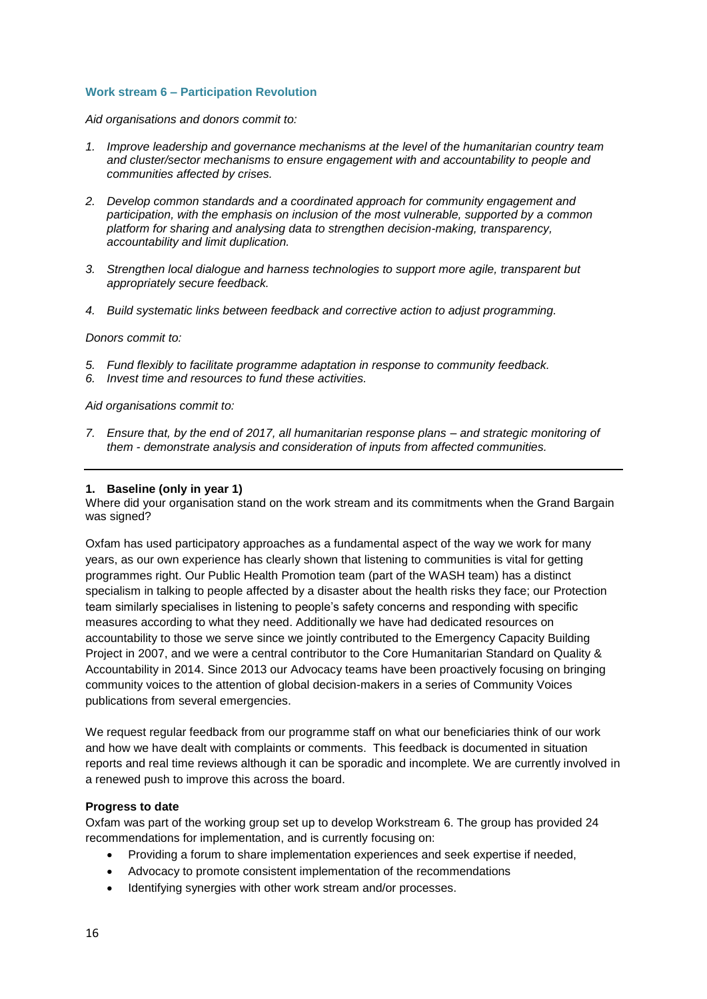### <span id="page-15-0"></span>**Work stream 6 – Participation Revolution**

*Aid organisations and donors commit to:*

- *1. Improve leadership and governance mechanisms at the level of the humanitarian country team and cluster/sector mechanisms to ensure engagement with and accountability to people and communities affected by crises.*
- *2. Develop common standards and a coordinated approach for community engagement and participation, with the emphasis on inclusion of the most vulnerable, supported by a common platform for sharing and analysing data to strengthen decision-making, transparency, accountability and limit duplication.*
- *3. Strengthen local dialogue and harness technologies to support more agile, transparent but appropriately secure feedback.*
- *4. Build systematic links between feedback and corrective action to adjust programming.*

*Donors commit to:*

- *5. Fund flexibly to facilitate programme adaptation in response to community feedback.*
- *6. Invest time and resources to fund these activities.*

*Aid organisations commit to:*

*7. Ensure that, by the end of 2017, all humanitarian response plans – and strategic monitoring of them - demonstrate analysis and consideration of inputs from affected communities.*

#### <span id="page-15-1"></span>**1. Baseline (only in year 1)**

Where did your organisation stand on the work stream and its commitments when the Grand Bargain was signed?

Oxfam has used participatory approaches as a fundamental aspect of the way we work for many years, as our own experience has clearly shown that listening to communities is vital for getting programmes right. Our Public Health Promotion team (part of the WASH team) has a distinct specialism in talking to people affected by a disaster about the health risks they face; our Protection team similarly specialises in listening to people's safety concerns and responding with specific measures according to what they need. Additionally we have had dedicated resources on accountability to those we serve since we jointly contributed to the Emergency Capacity Building Project in 2007, and we were a central contributor to the Core Humanitarian Standard on Quality & Accountability in 2014. Since 2013 our Advocacy teams have been proactively focusing on bringing community voices to the attention of global decision-makers in a series of Community Voices publications from several emergencies.

We request regular feedback from our programme staff on what our beneficiaries think of our work and how we have dealt with complaints or comments. This feedback is documented in situation reports and real time reviews although it can be sporadic and incomplete. We are currently involved in a renewed push to improve this across the board.

#### **Progress to date**

Oxfam was part of the working group set up to develop Workstream 6. The group has provided 24 recommendations for implementation, and is currently focusing on:

- Providing a forum to share implementation experiences and seek expertise if needed,
- Advocacy to promote consistent implementation of the recommendations
- Identifying synergies with other work stream and/or processes.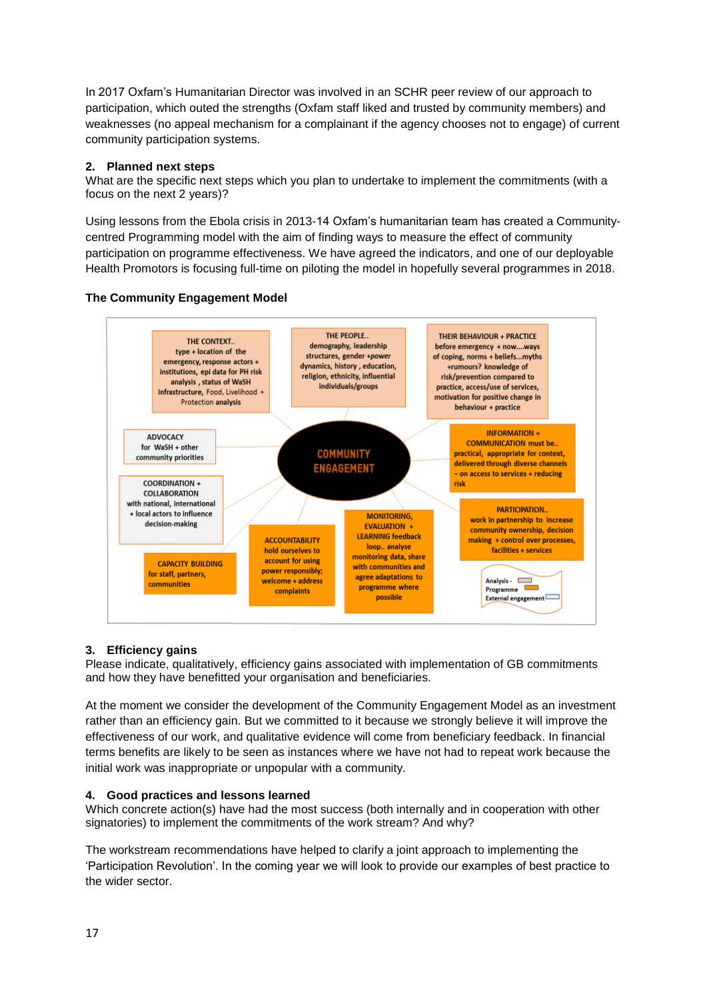In 2017 Oxfam's Humanitarian Director was involved in an SCHR peer review of our approach to participation, which outed the strengths (Oxfam staff liked and trusted by community members) and weaknesses (no appeal mechanism for a complainant if the agency chooses not to engage) of current community participation systems.

# <span id="page-16-0"></span>**2. Planned next steps**

What are the specific next steps which you plan to undertake to implement the commitments (with a focus on the next 2 years)?

Using lessons from the Ebola crisis in 2013-14 Oxfam's humanitarian team has created a Communitycentred Programming model with the aim of finding ways to measure the effect of community participation on programme effectiveness. We have agreed the indicators, and one of our deployable Health Promotors is focusing full-time on piloting the model in hopefully several programmes in 2018.





# <span id="page-16-1"></span>**3. Efficiency gains**

Please indicate, qualitatively, efficiency gains associated with implementation of GB commitments and how they have benefitted your organisation and beneficiaries.

At the moment we consider the development of the Community Engagement Model as an investment rather than an efficiency gain. But we committed to it because we strongly believe it will improve the effectiveness of our work, and qualitative evidence will come from beneficiary feedback. In financial terms benefits are likely to be seen as instances where we have not had to repeat work because the initial work was inappropriate or unpopular with a community.

# <span id="page-16-2"></span>**4. Good practices and lessons learned**

Which concrete action(s) have had the most success (both internally and in cooperation with other signatories) to implement the commitments of the work stream? And why?

The workstream recommendations have helped to clarify a joint approach to implementing the 'Participation Revolution'. In the coming year we will look to provide our examples of best practice to the wider sector.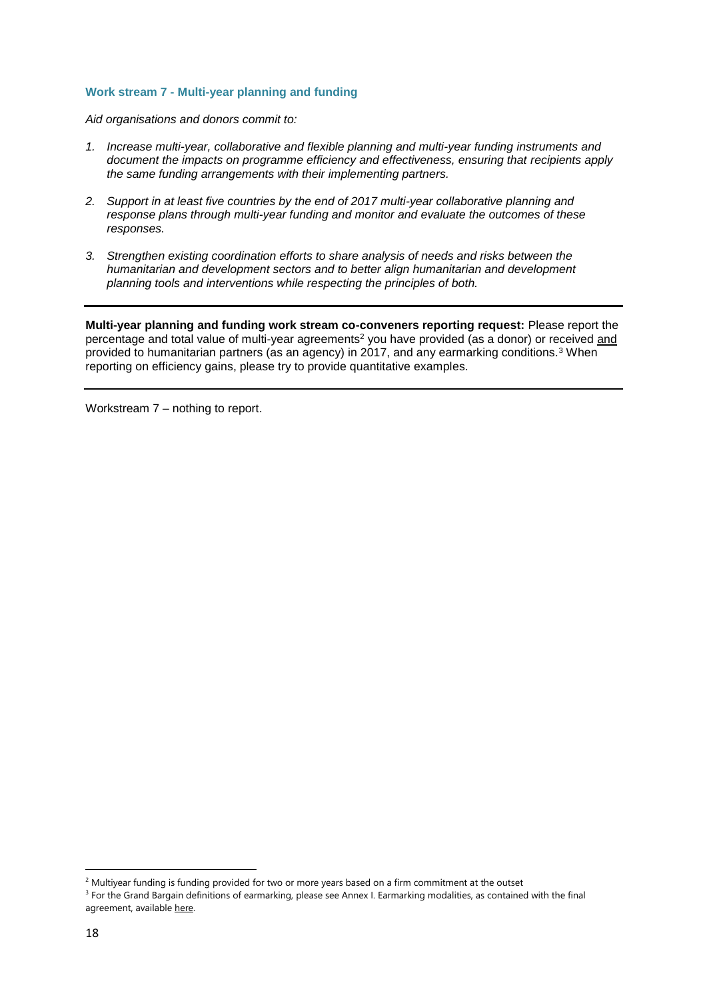### <span id="page-17-0"></span>**Work stream 7 - Multi-year planning and funding**

*Aid organisations and donors commit to:*

- *1. Increase multi-year, collaborative and flexible planning and multi-year funding instruments and document the impacts on programme efficiency and effectiveness, ensuring that recipients apply the same funding arrangements with their implementing partners.*
- *2. Support in at least five countries by the end of 2017 multi-year collaborative planning and response plans through multi-year funding and monitor and evaluate the outcomes of these responses.*
- *3. Strengthen existing coordination efforts to share analysis of needs and risks between the humanitarian and development sectors and to better align humanitarian and development planning tools and interventions while respecting the principles of both.*

**Multi-year planning and funding work stream co-conveners reporting request:** Please report the percentage and total value of multi-year agreements<sup>2</sup> you have provided (as a donor) or received and provided to humanitarian partners (as an agency) in 2017, and any earmarking conditions*.* <sup>3</sup> When reporting on efficiency gains, please try to provide quantitative examples.

Workstream 7 – nothing to report.

1

 $2$  Multiyear funding is funding provided for two or more years based on a firm commitment at the outset <sup>3</sup> For the Grand Bargain definitions of earmarking, please see Annex I. Earmarking modalities, as contained with the final

agreement, available [here.](https://interagencystandingcommittee.org/grand-bargain-hosted-iasc/documents/grand-bargain-shared-commitment-better-serve-people-need)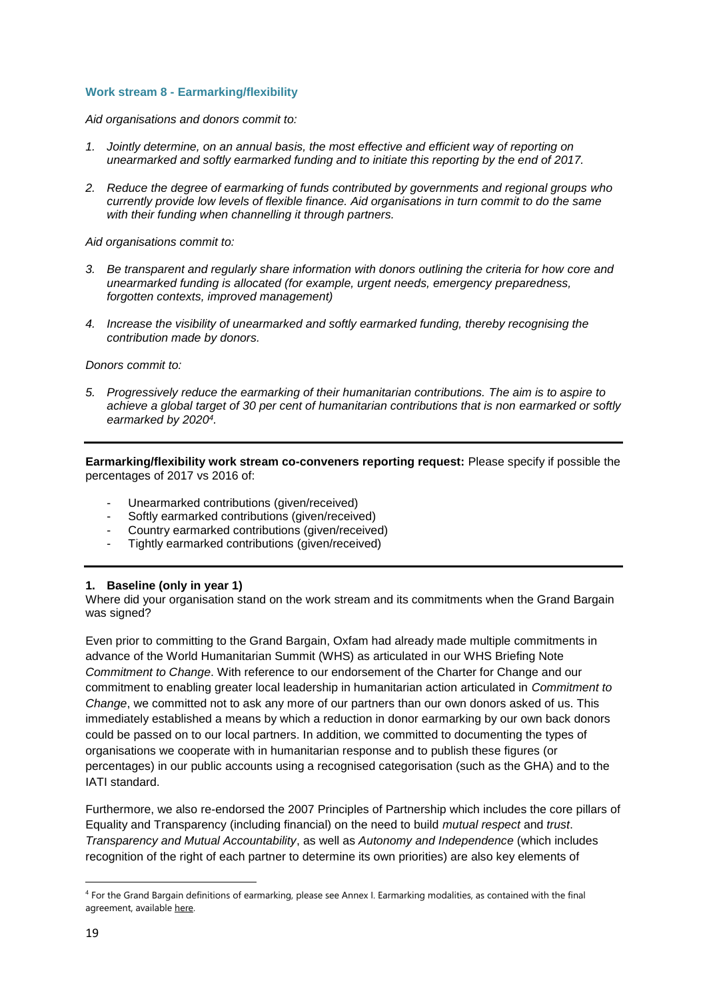### <span id="page-18-0"></span>**Work stream 8 - Earmarking/flexibility**

*Aid organisations and donors commit to:*

- *1. Jointly determine, on an annual basis, the most effective and efficient way of reporting on unearmarked and softly earmarked funding and to initiate this reporting by the end of 2017.*
- *2. Reduce the degree of earmarking of funds contributed by governments and regional groups who currently provide low levels of flexible finance. Aid organisations in turn commit to do the same with their funding when channelling it through partners.*

*Aid organisations commit to:*

- *3. Be transparent and regularly share information with donors outlining the criteria for how core and unearmarked funding is allocated (for example, urgent needs, emergency preparedness, forgotten contexts, improved management)*
- *4. Increase the visibility of unearmarked and softly earmarked funding, thereby recognising the contribution made by donors.*

*Donors commit to:*

*5. Progressively reduce the earmarking of their humanitarian contributions. The aim is to aspire to achieve a global target of 30 per cent of humanitarian contributions that is non earmarked or softly earmarked by 2020<sup>4</sup> .*

**Earmarking/flexibility work stream co-conveners reporting request:** Please specify if possible the percentages of 2017 vs 2016 of:

- Unearmarked contributions (given/received)
- Softly earmarked contributions (given/received)
- Country earmarked contributions (given/received)
- Tightly earmarked contributions (given/received)

#### <span id="page-18-1"></span>**1. Baseline (only in year 1)**

Where did your organisation stand on the work stream and its commitments when the Grand Bargain was signed?

Even prior to committing to the Grand Bargain, Oxfam had already made multiple commitments in advance of the World Humanitarian Summit (WHS) as articulated in our WHS Briefing Note *Commitment to Change*. With reference to our endorsement of the Charter for Change and our commitment to enabling greater local leadership in humanitarian action articulated in *Commitment to Change*, we committed not to ask any more of our partners than our own donors asked of us. This immediately established a means by which a reduction in donor earmarking by our own back donors could be passed on to our local partners. In addition, we committed to documenting the types of organisations we cooperate with in humanitarian response and to publish these figures (or percentages) in our public accounts using a recognised categorisation (such as the GHA) and to the IATI standard.

Furthermore, we also re-endorsed the 2007 Principles of Partnership which includes the core pillars of Equality and Transparency (including financial) on the need to build *mutual respect* and *trust*. *Transparency and Mutual Accountability*, as well as *Autonomy and Independence* (which includes recognition of the right of each partner to determine its own priorities) are also key elements of

**.** 

<sup>4</sup> For the Grand Bargain definitions of earmarking, please see Annex I. Earmarking modalities, as contained with the final agreement, available [here.](https://interagencystandingcommittee.org/grand-bargain-hosted-iasc/documents/grand-bargain-shared-commitment-better-serve-people-need)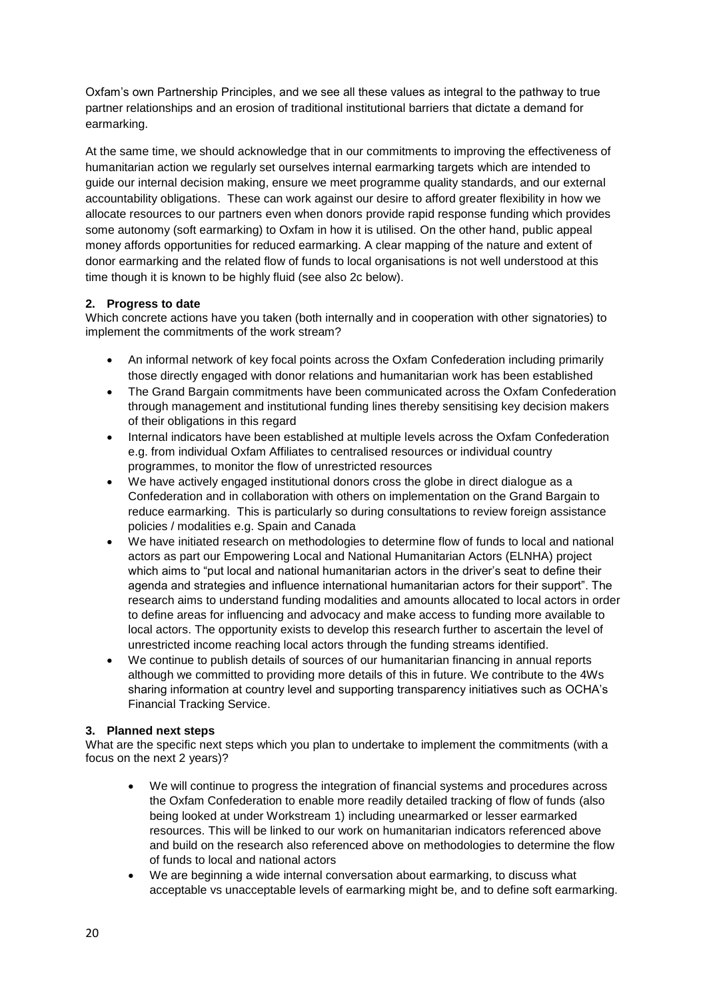Oxfam's own Partnership Principles, and we see all these values as integral to the pathway to true partner relationships and an erosion of traditional institutional barriers that dictate a demand for earmarking.

At the same time, we should acknowledge that in our commitments to improving the effectiveness of humanitarian action we regularly set ourselves internal earmarking targets which are intended to guide our internal decision making, ensure we meet programme quality standards, and our external accountability obligations. These can work against our desire to afford greater flexibility in how we allocate resources to our partners even when donors provide rapid response funding which provides some autonomy (soft earmarking) to Oxfam in how it is utilised. On the other hand, public appeal money affords opportunities for reduced earmarking. A clear mapping of the nature and extent of donor earmarking and the related flow of funds to local organisations is not well understood at this time though it is known to be highly fluid (see also 2c below).

# <span id="page-19-0"></span>**2. Progress to date**

Which concrete actions have you taken (both internally and in cooperation with other signatories) to implement the commitments of the work stream?

- An informal network of key focal points across the Oxfam Confederation including primarily those directly engaged with donor relations and humanitarian work has been established
- The Grand Bargain commitments have been communicated across the Oxfam Confederation through management and institutional funding lines thereby sensitising key decision makers of their obligations in this regard
- Internal indicators have been established at multiple levels across the Oxfam Confederation e.g. from individual Oxfam Affiliates to centralised resources or individual country programmes, to monitor the flow of unrestricted resources
- We have actively engaged institutional donors cross the globe in direct dialogue as a Confederation and in collaboration with others on implementation on the Grand Bargain to reduce earmarking. This is particularly so during consultations to review foreign assistance policies / modalities e.g. Spain and Canada
- We have initiated research on methodologies to determine flow of funds to local and national [actors](https://policy-practice.oxfam.org.uk/publications/methodology-for-assessing-humanitarian-funding-flows-to-local-and-national-acto-620323) as part our Empowering Local and National Humanitarian Actors (ELNHA) project which aims to "put local and national humanitarian actors in the driver's seat to define their agenda and strategies and influence international humanitarian actors for their support". The research aims to understand funding modalities and amounts allocated to local actors in order to define areas for influencing and advocacy and make access to funding more available to local actors. The opportunity exists to develop this research further to ascertain the level of unrestricted income reaching local actors through the funding streams identified.
- We continue to publish details of sources of our humanitarian financing in annual reports although we committed to providing more details of this in future. We contribute to the 4Ws sharing information at country level and supporting transparency initiatives such as OCHA's Financial Tracking Service.

# <span id="page-19-1"></span>**3. Planned next steps**

What are the specific next steps which you plan to undertake to implement the commitments (with a focus on the next 2 years)?

- We will continue to progress the integration of financial systems and procedures across the Oxfam Confederation to enable more readily detailed tracking of flow of funds (also being looked at under Workstream 1) including unearmarked or lesser earmarked resources. This will be linked to our work on humanitarian indicators referenced above and build on the research also referenced above on methodologies to determine the flow of funds to local and national actors
- We are beginning a wide internal conversation about earmarking, to discuss what acceptable vs unacceptable levels of earmarking might be, and to define soft earmarking.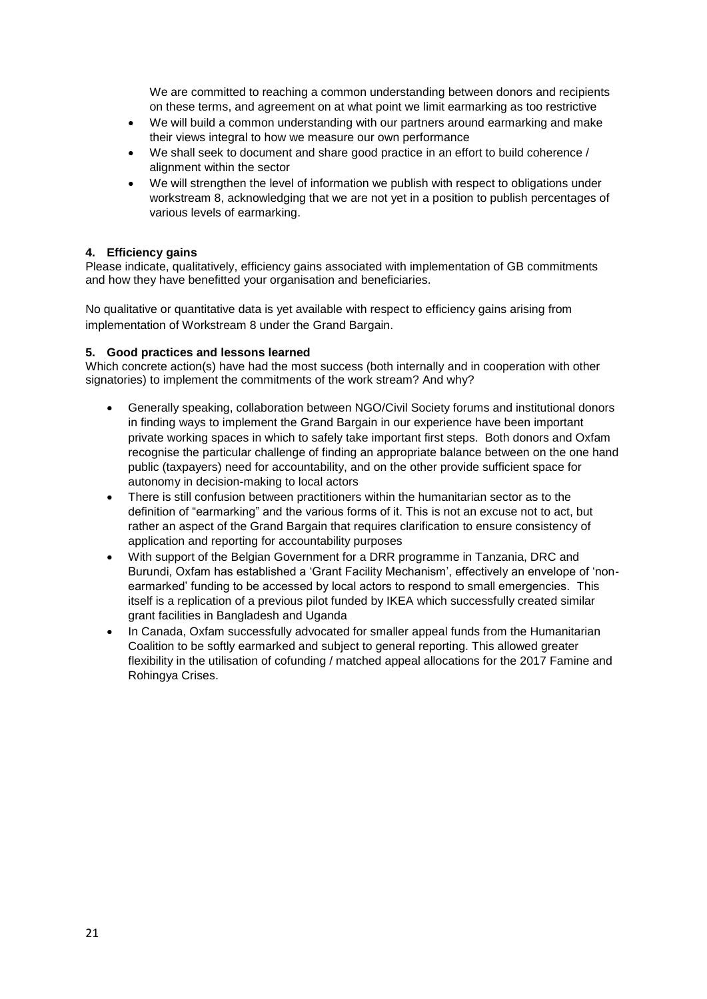We are committed to reaching a common understanding between donors and recipients on these terms, and agreement on at what point we limit earmarking as too restrictive

- We will build a common understanding with our partners around earmarking and make their views integral to how we measure our own performance
- We shall seek to document and share good practice in an effort to build coherence / alignment within the sector
- We will strengthen the level of information we publish with respect to obligations under workstream 8, acknowledging that we are not yet in a position to publish percentages of various levels of earmarking.

# <span id="page-20-0"></span>**4. Efficiency gains**

Please indicate, qualitatively, efficiency gains associated with implementation of GB commitments and how they have benefitted your organisation and beneficiaries.

No qualitative or quantitative data is yet available with respect to efficiency gains arising from implementation of Workstream 8 under the Grand Bargain.

# <span id="page-20-1"></span>**5. Good practices and lessons learned**

Which concrete action(s) have had the most success (both internally and in cooperation with other signatories) to implement the commitments of the work stream? And why?

- Generally speaking, collaboration between NGO/Civil Society forums and institutional donors in finding ways to implement the Grand Bargain in our experience have been important private working spaces in which to safely take important first steps. Both donors and Oxfam recognise the particular challenge of finding an appropriate balance between on the one hand public (taxpayers) need for accountability, and on the other provide sufficient space for autonomy in decision-making to local actors
- There is still confusion between practitioners within the humanitarian sector as to the definition of "earmarking" and the various forms of it. This is not an excuse not to act, but rather an aspect of the Grand Bargain that requires clarification to ensure consistency of application and reporting for accountability purposes
- With support of the Belgian Government for a DRR programme in Tanzania, DRC and Burundi, Oxfam has established a 'Grant Facility Mechanism', effectively an envelope of 'nonearmarked' funding to be accessed by local actors to respond to small emergencies. This itself is a replication of a previous pilot funded by IKEA which successfully created similar grant facilities in Bangladesh and Uganda
- In Canada, Oxfam successfully advocated for smaller appeal funds from the Humanitarian Coalition to be softly earmarked and subject to general reporting. This allowed greater flexibility in the utilisation of cofunding / matched appeal allocations for the 2017 Famine and Rohingya Crises.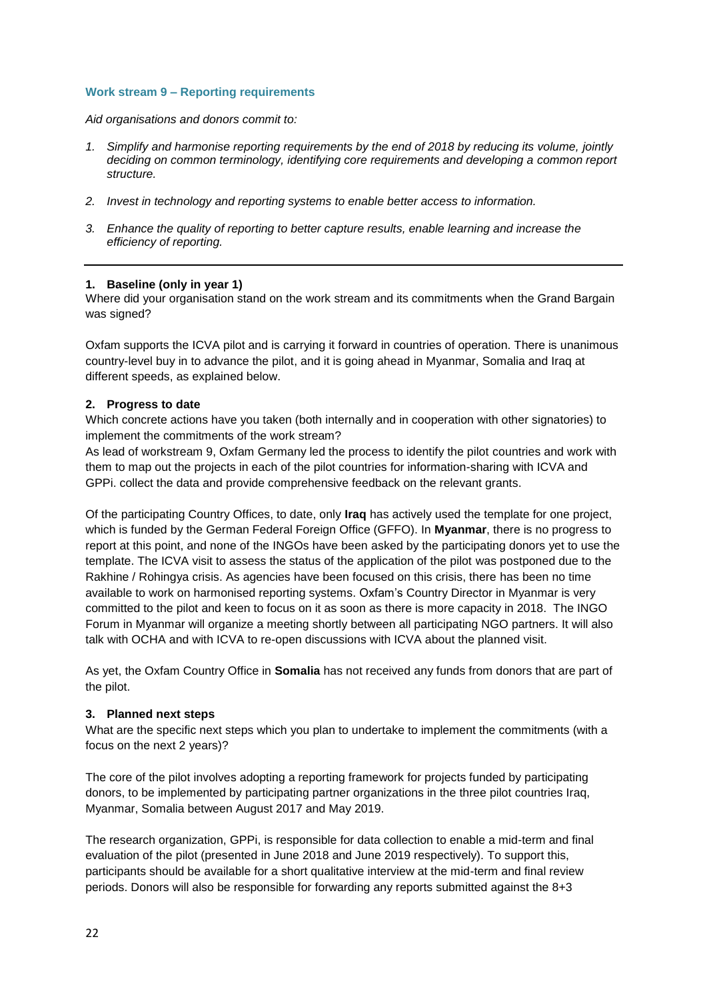### <span id="page-21-0"></span>**Work stream 9 – Reporting requirements**

*Aid organisations and donors commit to:*

- *1. Simplify and harmonise reporting requirements by the end of 2018 by reducing its volume, jointly deciding on common terminology, identifying core requirements and developing a common report structure.*
- *2. Invest in technology and reporting systems to enable better access to information.*
- *3. Enhance the quality of reporting to better capture results, enable learning and increase the efficiency of reporting.*

### <span id="page-21-1"></span>**1. Baseline (only in year 1)**

Where did your organisation stand on the work stream and its commitments when the Grand Bargain was signed?

Oxfam supports the ICVA pilot and is carrying it forward in countries of operation. There is unanimous country-level buy in to advance the pilot, and it is going ahead in Myanmar, Somalia and Iraq at different speeds, as explained below.

# <span id="page-21-2"></span>**2. Progress to date**

Which concrete actions have you taken (both internally and in cooperation with other signatories) to implement the commitments of the work stream?

As lead of workstream 9, Oxfam Germany led the process to identify the pilot countries and work with them to map out the projects in each of the pilot countries for information-sharing with ICVA and GPPi. collect the data and provide comprehensive feedback on the relevant grants.

Of the participating Country Offices, to date, only **Iraq** has actively used the template for one project, which is funded by the German Federal Foreign Office (GFFO). In **Myanmar**, there is no progress to report at this point, and none of the INGOs have been asked by the participating donors yet to use the template. The ICVA visit to assess the status of the application of the pilot was postponed due to the Rakhine / Rohingya crisis. As agencies have been focused on this crisis, there has been no time available to work on harmonised reporting systems. Oxfam's Country Director in Myanmar is very committed to the pilot and keen to focus on it as soon as there is more capacity in 2018. The INGO Forum in Myanmar will organize a meeting shortly between all participating NGO partners. It will also talk with OCHA and with ICVA to re-open discussions with ICVA about the planned visit.

As yet, the Oxfam Country Office in **Somalia** has not received any funds from donors that are part of the pilot.

# <span id="page-21-3"></span>**3. Planned next steps**

What are the specific next steps which you plan to undertake to implement the commitments (with a focus on the next 2 years)?

The core of the pilot involves adopting a reporting framework for projects funded by participating donors, to be implemented by participating partner organizations in the three pilot countries Iraq, Myanmar, Somalia between August 2017 and May 2019.

The research organization, GPPi, is responsible for data collection to enable a mid-term and final evaluation of the pilot (presented in June 2018 and June 2019 respectively). To support this, participants should be available for a short qualitative interview at the mid-term and final review periods. Donors will also be responsible for forwarding any reports submitted against the 8+3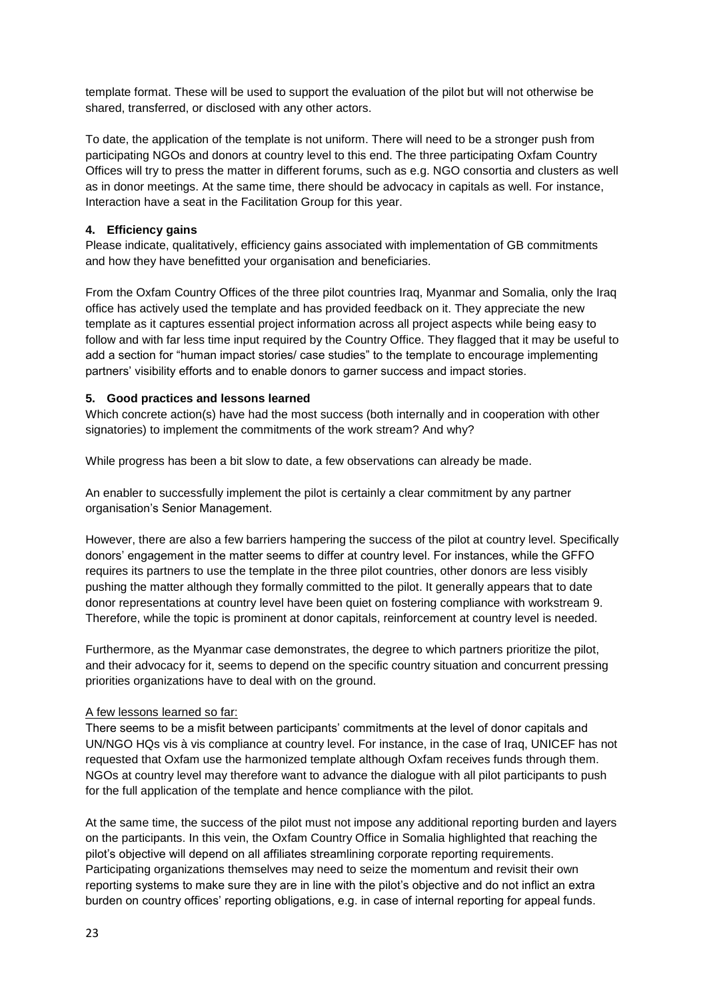template format. These will be used to support the evaluation of the pilot but will not otherwise be shared, transferred, or disclosed with any other actors.

To date, the application of the template is not uniform. There will need to be a stronger push from participating NGOs and donors at country level to this end. The three participating Oxfam Country Offices will try to press the matter in different forums, such as e.g. NGO consortia and clusters as well as in donor meetings. At the same time, there should be advocacy in capitals as well. For instance, Interaction have a seat in the Facilitation Group for this year.

# <span id="page-22-0"></span>**4. Efficiency gains**

Please indicate, qualitatively, efficiency gains associated with implementation of GB commitments and how they have benefitted your organisation and beneficiaries.

From the Oxfam Country Offices of the three pilot countries Iraq, Myanmar and Somalia, only the Iraq office has actively used the template and has provided feedback on it. They appreciate the new template as it captures essential project information across all project aspects while being easy to follow and with far less time input required by the Country Office. They flagged that it may be useful to add a section for "human impact stories/ case studies" to the template to encourage implementing partners' visibility efforts and to enable donors to garner success and impact stories.

# <span id="page-22-1"></span>**5. Good practices and lessons learned**

Which concrete action(s) have had the most success (both internally and in cooperation with other signatories) to implement the commitments of the work stream? And why?

While progress has been a bit slow to date, a few observations can already be made.

An enabler to successfully implement the pilot is certainly a clear commitment by any partner organisation's Senior Management.

However, there are also a few barriers hampering the success of the pilot at country level. Specifically donors' engagement in the matter seems to differ at country level. For instances, while the GFFO requires its partners to use the template in the three pilot countries, other donors are less visibly pushing the matter although they formally committed to the pilot. It generally appears that to date donor representations at country level have been quiet on fostering compliance with workstream 9. Therefore, while the topic is prominent at donor capitals, reinforcement at country level is needed.

Furthermore, as the Myanmar case demonstrates, the degree to which partners prioritize the pilot, and their advocacy for it, seems to depend on the specific country situation and concurrent pressing priorities organizations have to deal with on the ground.

# A few lessons learned so far:

There seems to be a misfit between participants' commitments at the level of donor capitals and UN/NGO HQs vis à vis compliance at country level. For instance, in the case of Iraq, UNICEF has not requested that Oxfam use the harmonized template although Oxfam receives funds through them. NGOs at country level may therefore want to advance the dialogue with all pilot participants to push for the full application of the template and hence compliance with the pilot.

At the same time, the success of the pilot must not impose any additional reporting burden and layers on the participants. In this vein, the Oxfam Country Office in Somalia highlighted that reaching the pilot's objective will depend on all affiliates streamlining corporate reporting requirements. Participating organizations themselves may need to seize the momentum and revisit their own reporting systems to make sure they are in line with the pilot's objective and do not inflict an extra burden on country offices' reporting obligations, e.g. in case of internal reporting for appeal funds.